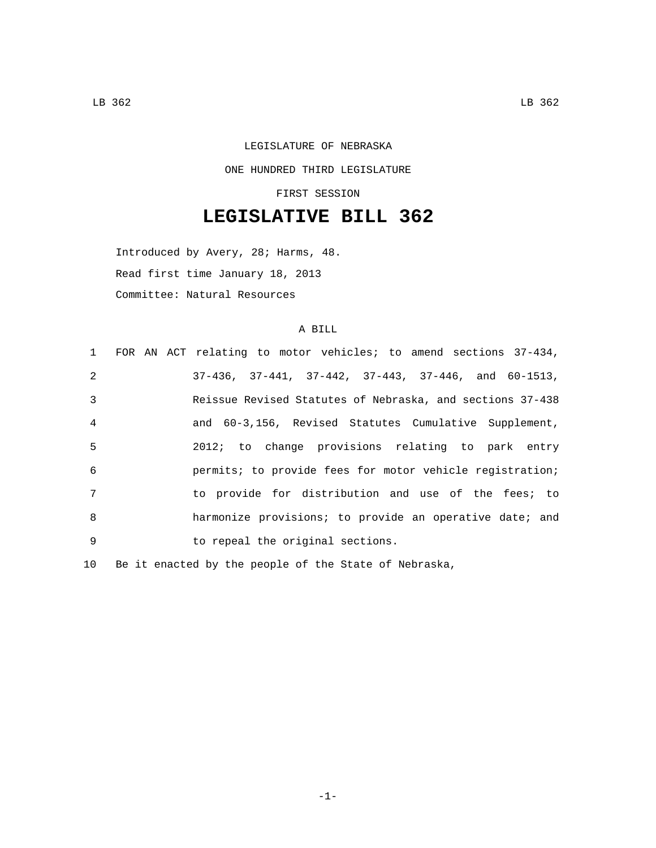## LEGISLATURE OF NEBRASKA ONE HUNDRED THIRD LEGISLATURE FIRST SESSION

## **LEGISLATIVE BILL 362**

Introduced by Avery, 28; Harms, 48. Read first time January 18, 2013 Committee: Natural Resources

## A BILL

|                 | 1 FOR AN ACT relating to motor vehicles; to amend sections 37-434,     |
|-----------------|------------------------------------------------------------------------|
| 2               | $37-436$ , $37-441$ , $37-442$ , $37-443$ , $37-446$ , and $60-1513$ , |
| 3               | Reissue Revised Statutes of Nebraska, and sections 37-438              |
| $\overline{4}$  | and 60-3,156, Revised Statutes Cumulative Supplement,                  |
| -5              | 2012; to change provisions relating to park entry                      |
| 6               | permits; to provide fees for motor vehicle registration;               |
| $7\overline{ }$ | to provide for distribution and use of the fees; to                    |
| 8               | harmonize provisions; to provide an operative date; and                |
| 9               | to repeal the original sections.                                       |

10 Be it enacted by the people of the State of Nebraska,

-1-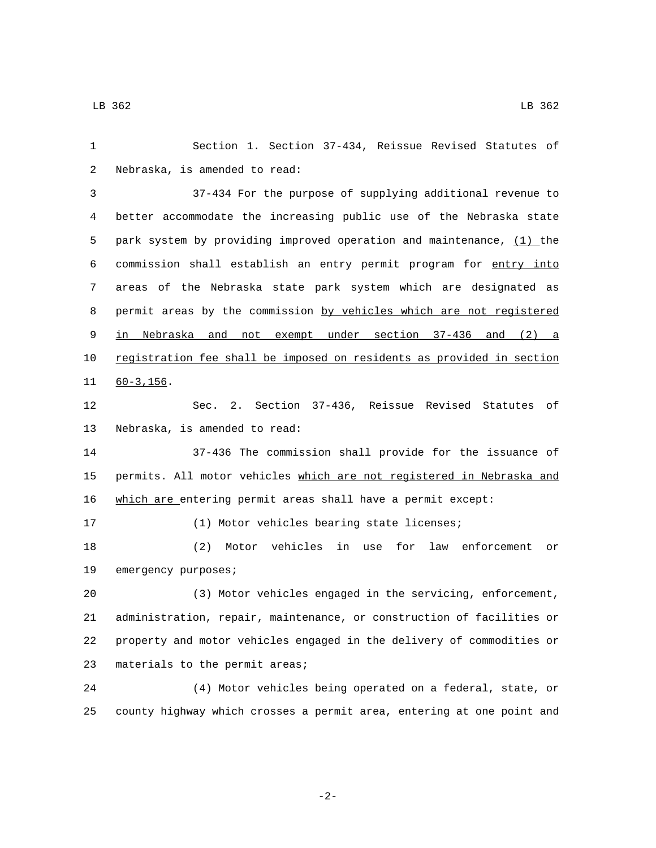| 1  | Section 1. Section 37-434, Reissue Revised Statutes of                |
|----|-----------------------------------------------------------------------|
| 2  | Nebraska, is amended to read:                                         |
| 3  | 37-434 For the purpose of supplying additional revenue to             |
| 4  | better accommodate the increasing public use of the Nebraska state    |
| 5  | park system by providing improved operation and maintenance, (1) the  |
| 6  | commission shall establish an entry permit program for entry into     |
| 7  | areas of the Nebraska state park system which are designated as       |
| 8  | permit areas by the commission by vehicles which are not registered   |
| 9  | in Nebraska and not exempt under section 37-436 and (2) a             |
| 10 | registration fee shall be imposed on residents as provided in section |
| 11 | $60 - 3, 156.$                                                        |
| 12 | Sec. 2. Section 37-436, Reissue Revised Statutes of                   |
| 13 | Nebraska, is amended to read:                                         |
| 14 | 37-436 The commission shall provide for the issuance of               |
| 15 | permits. All motor vehicles which are not registered in Nebraska and  |
| 16 | which are entering permit areas shall have a permit except:           |
| 17 | (1) Motor vehicles bearing state licenses;                            |
| 18 | Motor vehicles in use<br>for law enforcement<br>(2)<br>or             |
| 19 | emergency purposes;                                                   |
| 20 | (3) Motor vehicles engaged in the servicing, enforcement,             |
| 21 | administration, repair, maintenance, or construction of facilities or |
| 22 | property and motor vehicles engaged in the delivery of commodities or |
| 23 | materials to the permit areas;                                        |
| 24 | (4) Motor vehicles being operated on a federal, state, or             |
| 25 | county highway which crosses a permit area, entering at one point and |

-2-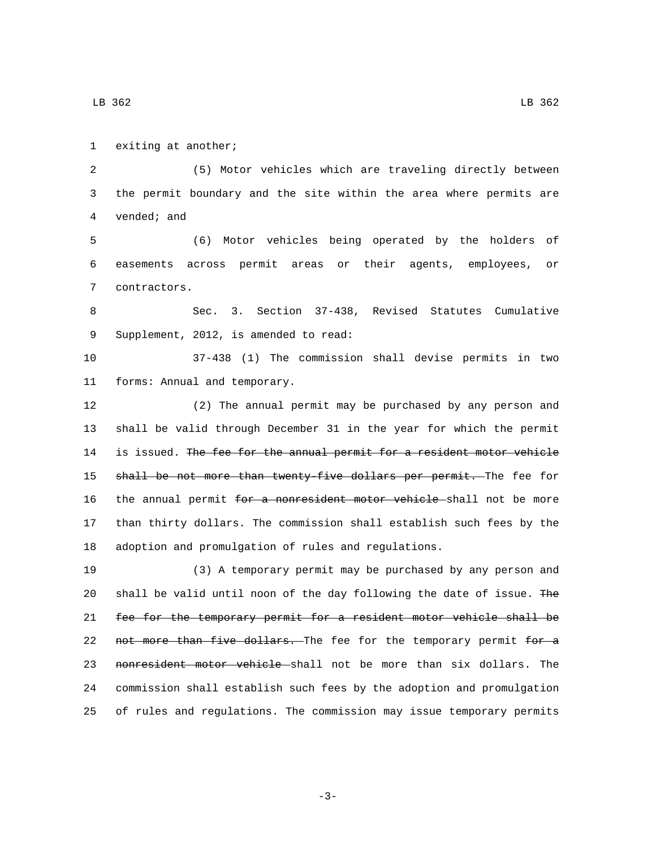1 exiting at another;

LB 362 LB  $\overline{362}$ 

 (5) Motor vehicles which are traveling directly between the permit boundary and the site within the area where permits are 4 vended; and (6) Motor vehicles being operated by the holders of easements across permit areas or their agents, employees, or 7 contractors. Sec. 3. Section 37-438, Revised Statutes Cumulative 9 Supplement, 2012, is amended to read: 37-438 (1) The commission shall devise permits in two 11 forms: Annual and temporary. (2) The annual permit may be purchased by any person and shall be valid through December 31 in the year for which the permit 14 is issued. The fee for the annual permit for a resident motor vehicle 15 shall be not more than twenty five dollars per permit. The fee for 16 the annual permit for a nonresident motor vehicle shall not be more than thirty dollars. The commission shall establish such fees by the adoption and promulgation of rules and regulations. (3) A temporary permit may be purchased by any person and shall be valid until noon of the day following the date of issue. The fee for the temporary permit for a resident motor vehicle shall be 22 not more than five dollars. The fee for the temporary permit for a 23 nonresident motor vehicle shall not be more than six dollars. The commission shall establish such fees by the adoption and promulgation of rules and regulations. The commission may issue temporary permits

-3-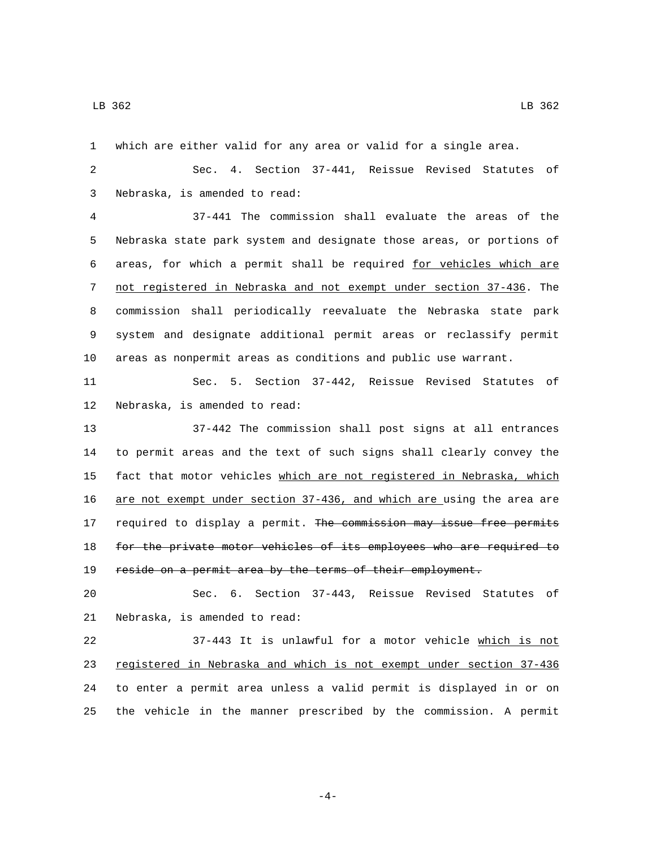which are either valid for any area or valid for a single area.

 Sec. 4. Section 37-441, Reissue Revised Statutes of Nebraska, is amended to read:3

 37-441 The commission shall evaluate the areas of the Nebraska state park system and designate those areas, or portions of areas, for which a permit shall be required for vehicles which are not registered in Nebraska and not exempt under section 37-436. The commission shall periodically reevaluate the Nebraska state park system and designate additional permit areas or reclassify permit areas as nonpermit areas as conditions and public use warrant.

 Sec. 5. Section 37-442, Reissue Revised Statutes of 12 Nebraska, is amended to read:

 37-442 The commission shall post signs at all entrances to permit areas and the text of such signs shall clearly convey the 15 fact that motor vehicles which are not registered in Nebraska, which are not exempt under section 37-436, and which are using the area are 17 required to display a permit. The commission may issue free permits for the private motor vehicles of its employees who are required to reside on a permit area by the terms of their employment.

 Sec. 6. Section 37-443, Reissue Revised Statutes of 21 Nebraska, is amended to read:

 37-443 It is unlawful for a motor vehicle which is not registered in Nebraska and which is not exempt under section 37-436 to enter a permit area unless a valid permit is displayed in or on the vehicle in the manner prescribed by the commission. A permit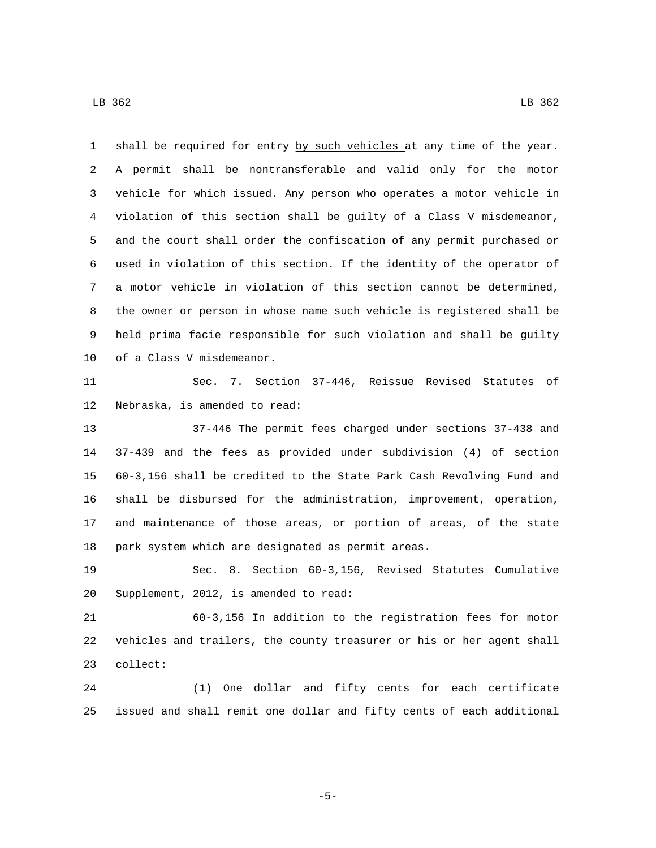1 shall be required for entry by such vehicles at any time of the year. A permit shall be nontransferable and valid only for the motor vehicle for which issued. Any person who operates a motor vehicle in violation of this section shall be guilty of a Class V misdemeanor, and the court shall order the confiscation of any permit purchased or used in violation of this section. If the identity of the operator of a motor vehicle in violation of this section cannot be determined, the owner or person in whose name such vehicle is registered shall be held prima facie responsible for such violation and shall be guilty 10 of a Class V misdemeanor.

 Sec. 7. Section 37-446, Reissue Revised Statutes of 12 Nebraska, is amended to read:

 37-446 The permit fees charged under sections 37-438 and 37-439 and the fees as provided under subdivision (4) of section 60-3,156 shall be credited to the State Park Cash Revolving Fund and shall be disbursed for the administration, improvement, operation, and maintenance of those areas, or portion of areas, of the state 18 park system which are designated as permit areas.

 Sec. 8. Section 60-3,156, Revised Statutes Cumulative 20 Supplement, 2012, is amended to read:

 60-3,156 In addition to the registration fees for motor vehicles and trailers, the county treasurer or his or her agent shall 23 collect:

 (1) One dollar and fifty cents for each certificate issued and shall remit one dollar and fifty cents of each additional

-5-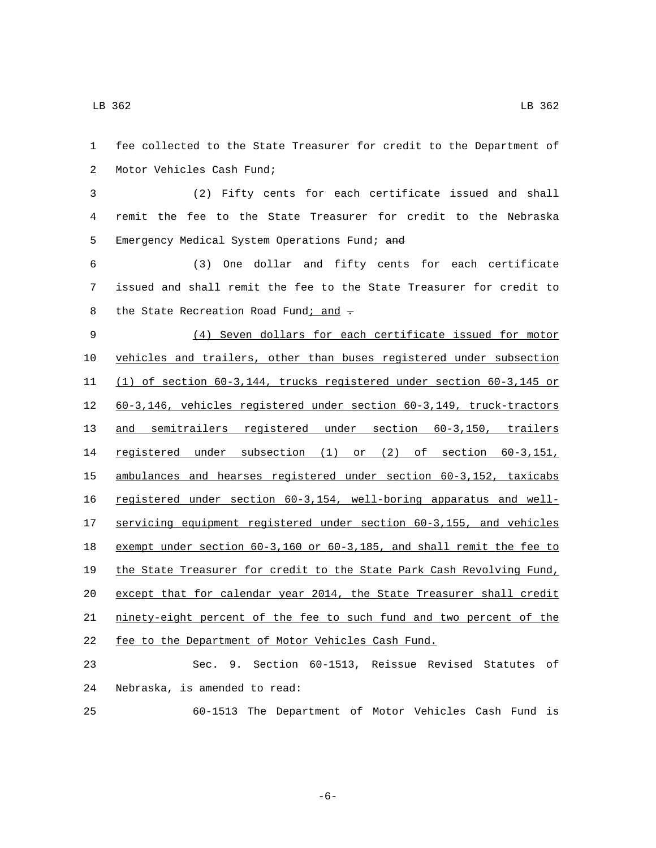fee collected to the State Treasurer for credit to the Department of 2 Motor Vehicles Cash Fund; (2) Fifty cents for each certificate issued and shall remit the fee to the State Treasurer for credit to the Nebraska 5 Emergency Medical System Operations Fund; and (3) One dollar and fifty cents for each certificate issued and shall remit the fee to the State Treasurer for credit to 8 the State Recreation Road Fund; and  $\div$  (4) Seven dollars for each certificate issued for motor vehicles and trailers, other than buses registered under subsection (1) of section 60-3,144, trucks registered under section 60-3,145 or 60-3,146, vehicles registered under section 60-3,149, truck-tractors and semitrailers registered under section 60-3,150, trailers registered under subsection (1) or (2) of section 60-3,151, ambulances and hearses registered under section 60-3,152, taxicabs registered under section 60-3,154, well-boring apparatus and well- servicing equipment registered under section 60-3,155, and vehicles exempt under section 60-3,160 or 60-3,185, and shall remit the fee to the State Treasurer for credit to the State Park Cash Revolving Fund, except that for calendar year 2014, the State Treasurer shall credit ninety-eight percent of the fee to such fund and two percent of the fee to the Department of Motor Vehicles Cash Fund. Sec. 9. Section 60-1513, Reissue Revised Statutes of 24 Nebraska, is amended to read:

60-1513 The Department of Motor Vehicles Cash Fund is

-6-